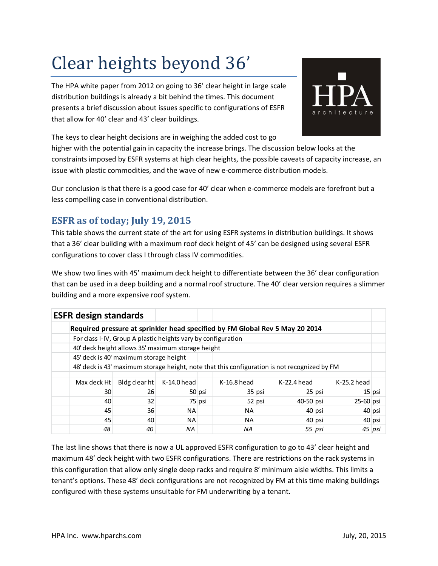# Clear heights beyond 36'

The HPA white paper from 2012 on going to 36' clear height in large scale distribution buildings is already a bit behind the times. This document presents a brief discussion about issues specific to configurations of ESFR that allow for 40' clear and 43' clear buildings.



The keys to clear height decisions are in weighing the added cost to go

higher with the potential gain in capacity the increase brings. The discussion below looks at the constraints imposed by ESFR systems at high clear heights, the possible caveats of capacity increase, an issue with plastic commodities, and the wave of new e-commerce distribution models.

Our conclusion is that there is a good case for 40' clear when e-commerce models are forefront but a less compelling case in conventional distribution.

## **ESFR as of today; July 19, 2015**

This table shows the current state of the art for using ESFR systems in distribution buildings. It shows that a 36' clear building with a maximum roof deck height of 45' can be designed using several ESFR configurations to cover class I through class IV commodities.

We show two lines with 45' maximum deck height to differentiate between the 36' clear configuration that can be used in a deep building and a normal roof structure. The 40' clear version requires a slimmer building and a more expensive roof system.

| <b>ESFR design standards</b>                                                 |                                                                                              |             |        |               |          |               |          |               |  |
|------------------------------------------------------------------------------|----------------------------------------------------------------------------------------------|-------------|--------|---------------|----------|---------------|----------|---------------|--|
| Required pressure at sprinkler head specified by FM Global Rev 5 May 20 2014 |                                                                                              |             |        |               |          |               |          |               |  |
|                                                                              | For class I-IV, Group A plastic heights vary by configuration                                |             |        |               |          |               |          |               |  |
|                                                                              | 40' deck height allows 35' maximum storage height                                            |             |        |               |          |               |          |               |  |
|                                                                              | 45' deck is 40' maximum storage height                                                       |             |        |               |          |               |          |               |  |
|                                                                              | 48' deck is 43' maximum storage height, note that this configuration is not recognized by FM |             |        |               |          |               |          |               |  |
| Max deck Ht                                                                  | Bldg clear ht                                                                                | K-14.0 head |        | $K-16.8$ head |          | $K-22.4$ head |          | K-25.2 head   |  |
| 30                                                                           | 26                                                                                           |             | 50 psi |               | 35 psi   |               | $25$ psi | 15 psi        |  |
| 40                                                                           | 32                                                                                           |             | 75 psi |               | $52$ psi | 40-50 psi     |          | $25 - 60$ psi |  |
| 45                                                                           | 36                                                                                           | NA.         |        | NA.           |          |               | 40 psi   | 40 psi        |  |
| 45                                                                           | 40                                                                                           | <b>NA</b>   |        | NA.           |          |               | 40 psi   | 40 psi        |  |
| 48                                                                           | 40                                                                                           | ΝA          |        | ΝA            |          |               | 55 psi   | 45 psi        |  |

The last line shows that there is now a UL approved ESFR configuration to go to 43' clear height and maximum 48' deck height with two ESFR configurations. There are restrictions on the rack systems in this configuration that allow only single deep racks and require 8' minimum aisle widths. This limits a tenant's options. These 48' deck configurations are not recognized by FM at this time making buildings configured with these systems unsuitable for FM underwriting by a tenant.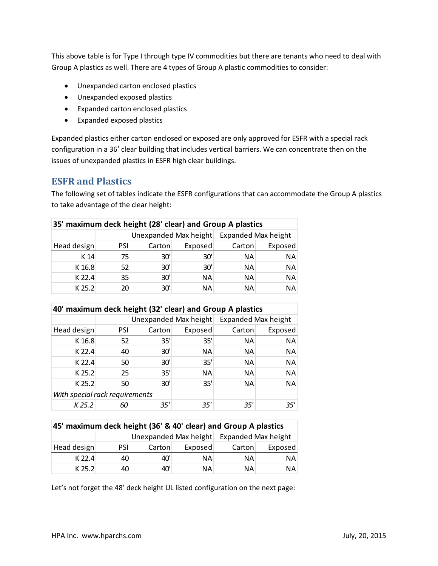This above table is for Type I through type IV commodities but there are tenants who need to deal with Group A plastics as well. There are 4 types of Group A plastic commodities to consider:

- Unexpanded carton enclosed plastics
- Unexpanded exposed plastics
- Expanded carton enclosed plastics
- Expanded exposed plastics

Expanded plastics either carton enclosed or exposed are only approved for ESFR with a special rack configuration in a 36' clear building that includes vertical barriers. We can concentrate then on the issues of unexpanded plastics in ESFR high clear buildings.

#### **ESFR and Plastics**

The following set of tables indicate the ESFR configurations that can accommodate the Group A plastics to take advantage of the clear height:

| 35' maximum deck height (28' clear) and Group A plastics |     |                       |           |                            |           |  |  |
|----------------------------------------------------------|-----|-----------------------|-----------|----------------------------|-----------|--|--|
|                                                          |     | Unexpanded Max height |           | <b>Expanded Max height</b> |           |  |  |
| Head design                                              | PSI | Carton                | Exposed   | Carton                     | Exposed   |  |  |
| K 14                                                     | 75  | 30'                   | 30'       | NA.                        | NA        |  |  |
| K 16.8                                                   | 52  | 30'                   | 30'       | <b>NA</b>                  | NA        |  |  |
| K 22.4                                                   | 35  | 30'                   | <b>NA</b> | <b>NA</b>                  | <b>NA</b> |  |  |
| K 25.2                                                   | 20  | 30'                   | ΝA        | <b>NA</b>                  | <b>NA</b> |  |  |

| 40' maximum deck height (32' clear) and Group A plastics |     |                       |         |                            |         |  |
|----------------------------------------------------------|-----|-----------------------|---------|----------------------------|---------|--|
|                                                          |     | Unexpanded Max height |         | <b>Expanded Max height</b> |         |  |
| Head design                                              | PSI | Carton                | Exposed | Carton                     | Exposed |  |
| K 16.8                                                   | 52  | 35'                   | 35'     | NA.                        | NA      |  |
| K 22.4                                                   | 40  | 30'                   | ΝA      | NA.                        | ΝA      |  |
| K 22.4                                                   | 50  | 30'                   | 35'     | <b>NA</b>                  | ΝA      |  |
| K 25.2                                                   | 25  | 35'                   | ΝA      | NA.                        | ΝA      |  |
| K 25.2                                                   | 50  | 30'                   | 35'     | <b>NA</b>                  | ΝA      |  |
| With special rack requirements                           |     |                       |         |                            |         |  |
| K 25.2                                                   | 60  | 35'                   | 35'     | 35'                        | 35'     |  |

| 45' maximum deck height (36' & 40' clear) and Group A plastics |            |        |         |                                           |           |  |  |  |
|----------------------------------------------------------------|------------|--------|---------|-------------------------------------------|-----------|--|--|--|
|                                                                |            |        |         | Unexpanded Max height Expanded Max height |           |  |  |  |
| Head design                                                    | <b>PSI</b> | Carton | Exposed | Carton                                    | Exposed   |  |  |  |
| $K$ 22.4                                                       | 40         | 40'    | NA.     | NA.                                       | NA.       |  |  |  |
| $K$ 25.2                                                       | 40         | 40'    | NA.     | NA.                                       | <b>NA</b> |  |  |  |

Let's not forget the 48' deck height UL listed configuration on the next page: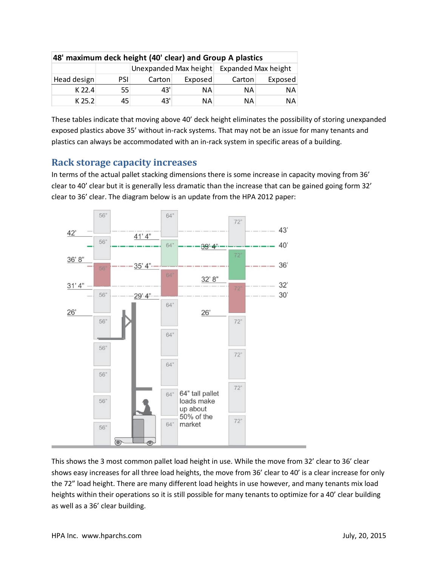| 48' maximum deck height (40' clear) and Group A plastics |            |        |         |                                           |         |  |  |
|----------------------------------------------------------|------------|--------|---------|-------------------------------------------|---------|--|--|
|                                                          |            |        |         | Unexpanded Max height Expanded Max height |         |  |  |
| Head design                                              | <b>PSI</b> | Carton | Exposed | Carton                                    | Exposed |  |  |
| $K$ 22.4                                                 | 55         | 43'    | NA.     | ΝA                                        | ΝA      |  |  |
| $K$ 25.2                                                 | 45         | 43'    | NA.     | ΝA                                        | ΝA      |  |  |

These tables indicate that moving above 40' deck height eliminates the possibility of storing unexpanded exposed plastics above 35' without in-rack systems. That may not be an issue for many tenants and plastics can always be accommodated with an in-rack system in specific areas of a building.

### **Rack storage capacity increases**

In terms of the actual pallet stacking dimensions there is some increase in capacity moving from 36' clear to 40' clear but it is generally less dramatic than the increase that can be gained going form 32' clear to 36' clear. The diagram below is an update from the HPA 2012 paper:



This shows the 3 most common pallet load height in use. While the move from 32' clear to 36' clear shows easy increases for all three load heights, the move from 36' clear to 40' is a clear increase for only the 72" load height. There are many different load heights in use however, and many tenants mix load heights within their operations so it is still possible for many tenants to optimize for a 40' clear building as well as a 36' clear building.